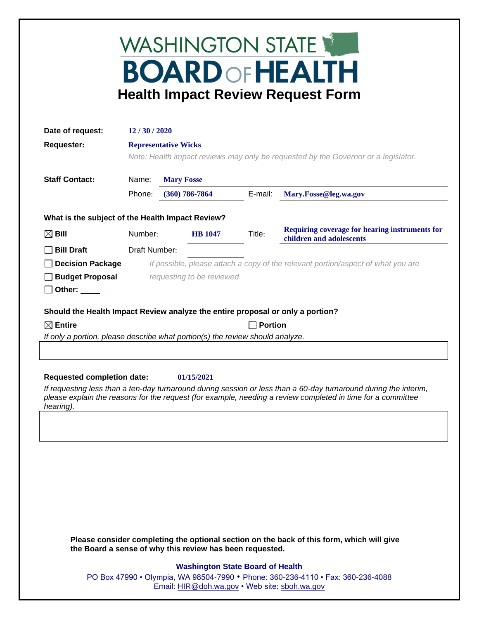## WASHINGTON STATE **BOARD OF HEALTH Health Impact Review Request Form**

| Date of request:                                                                                                                                      | 12/30/2020                                                                                                        |                   |                  |                                                                                  |                                                                                                                                                                                                                                 |  |  |
|-------------------------------------------------------------------------------------------------------------------------------------------------------|-------------------------------------------------------------------------------------------------------------------|-------------------|------------------|----------------------------------------------------------------------------------|---------------------------------------------------------------------------------------------------------------------------------------------------------------------------------------------------------------------------------|--|--|
| <b>Requester:</b>                                                                                                                                     | <b>Representative Wicks</b><br>Note: Health impact reviews may only be requested by the Governor or a legislator. |                   |                  |                                                                                  |                                                                                                                                                                                                                                 |  |  |
|                                                                                                                                                       |                                                                                                                   |                   |                  |                                                                                  |                                                                                                                                                                                                                                 |  |  |
| <b>Staff Contact:</b>                                                                                                                                 | Name:                                                                                                             | <b>Mary Fosse</b> |                  |                                                                                  |                                                                                                                                                                                                                                 |  |  |
|                                                                                                                                                       | Phone:                                                                                                            |                   | $(360)$ 786-7864 | E-mail:                                                                          | Mary.Fosse@leg.wa.gov                                                                                                                                                                                                           |  |  |
| What is the subject of the Health Impact Review?                                                                                                      |                                                                                                                   |                   |                  |                                                                                  |                                                                                                                                                                                                                                 |  |  |
| $\boxtimes$ Bill                                                                                                                                      | Number:                                                                                                           |                   | <b>HB</b> 1047   | Title:                                                                           | Requiring coverage for hearing instruments for<br>children and adolescents                                                                                                                                                      |  |  |
| <b>Bill Draft</b>                                                                                                                                     | Draft Number:                                                                                                     |                   |                  |                                                                                  |                                                                                                                                                                                                                                 |  |  |
| <b>Decision Package</b>                                                                                                                               |                                                                                                                   |                   |                  | If possible, please attach a copy of the relevant portion/aspect of what you are |                                                                                                                                                                                                                                 |  |  |
| <b>Budget Proposal</b>                                                                                                                                | requesting to be reviewed.                                                                                        |                   |                  |                                                                                  |                                                                                                                                                                                                                                 |  |  |
| Other: $\_\_$                                                                                                                                         |                                                                                                                   |                   |                  |                                                                                  |                                                                                                                                                                                                                                 |  |  |
|                                                                                                                                                       |                                                                                                                   |                   |                  |                                                                                  |                                                                                                                                                                                                                                 |  |  |
| Should the Health Impact Review analyze the entire proposal or only a portion?                                                                        |                                                                                                                   |                   |                  |                                                                                  |                                                                                                                                                                                                                                 |  |  |
| $\boxtimes$ Entire<br>If only a portion, please describe what portion(s) the review should analyze.                                                   |                                                                                                                   |                   |                  |                                                                                  | <b>Portion</b>                                                                                                                                                                                                                  |  |  |
|                                                                                                                                                       |                                                                                                                   |                   |                  |                                                                                  |                                                                                                                                                                                                                                 |  |  |
|                                                                                                                                                       |                                                                                                                   |                   |                  |                                                                                  |                                                                                                                                                                                                                                 |  |  |
|                                                                                                                                                       |                                                                                                                   |                   |                  |                                                                                  |                                                                                                                                                                                                                                 |  |  |
| <b>Requested completion date:</b>                                                                                                                     |                                                                                                                   |                   | 01/15/2021       |                                                                                  |                                                                                                                                                                                                                                 |  |  |
|                                                                                                                                                       |                                                                                                                   |                   |                  |                                                                                  | If requesting less than a ten-day turnaround during session or less than a 60-day turnaround during the interim,<br>please explain the reasons for the request (for example, needing a review completed in time for a committee |  |  |
| hearing).                                                                                                                                             |                                                                                                                   |                   |                  |                                                                                  |                                                                                                                                                                                                                                 |  |  |
|                                                                                                                                                       |                                                                                                                   |                   |                  |                                                                                  |                                                                                                                                                                                                                                 |  |  |
|                                                                                                                                                       |                                                                                                                   |                   |                  |                                                                                  |                                                                                                                                                                                                                                 |  |  |
|                                                                                                                                                       |                                                                                                                   |                   |                  |                                                                                  |                                                                                                                                                                                                                                 |  |  |
|                                                                                                                                                       |                                                                                                                   |                   |                  |                                                                                  |                                                                                                                                                                                                                                 |  |  |
|                                                                                                                                                       |                                                                                                                   |                   |                  |                                                                                  |                                                                                                                                                                                                                                 |  |  |
|                                                                                                                                                       |                                                                                                                   |                   |                  |                                                                                  |                                                                                                                                                                                                                                 |  |  |
|                                                                                                                                                       |                                                                                                                   |                   |                  |                                                                                  |                                                                                                                                                                                                                                 |  |  |
|                                                                                                                                                       |                                                                                                                   |                   |                  |                                                                                  |                                                                                                                                                                                                                                 |  |  |
|                                                                                                                                                       |                                                                                                                   |                   |                  |                                                                                  |                                                                                                                                                                                                                                 |  |  |
| Please consider completing the optional section on the back of this form, which will give<br>the Board a sense of why this review has been requested. |                                                                                                                   |                   |                  |                                                                                  |                                                                                                                                                                                                                                 |  |  |
| <b>Washington State Board of Health</b>                                                                                                               |                                                                                                                   |                   |                  |                                                                                  |                                                                                                                                                                                                                                 |  |  |
|                                                                                                                                                       | PO Box 47990 • Olympia, WA 98504-7990 • Phone: 360-236-4110 • Fax: 360-236-4088                                   |                   |                  |                                                                                  |                                                                                                                                                                                                                                 |  |  |
| Email: HIR@doh.wa.gov • Web site: sboh.wa.gov                                                                                                         |                                                                                                                   |                   |                  |                                                                                  |                                                                                                                                                                                                                                 |  |  |